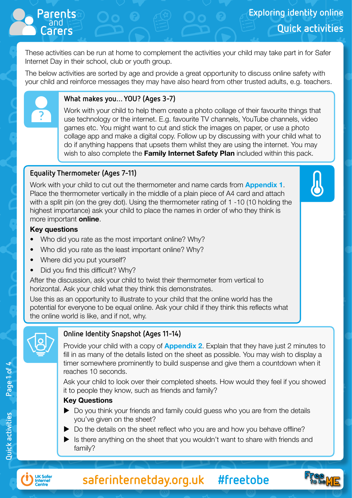These activities can be run at home to complement the activities your child may take part in for Safer Internet Day in their school, club or youth group.

The below activities are sorted by age and provide a great opportunity to discuss online safety with your child and reinforce messages they may have also heard from other trusted adults, e.g. teachers.



and **Parents**

#### **What makes you… YOU? (Ages 3-7)**

Work with your child to help them create a photo collage of their favourite things that use technology or the internet. E.g. favourite TV channels, YouTube channels, video games etc. You might want to cut and stick the images on paper, or use a photo collage app and make a digital copy. Follow up by discussing with your child what to do if anything happens that upsets them whilst they are using the internet. You may wish to also complete the Family Internet Safety Plan included within this pack.

#### **Equality Thermometer (Ages 7-11)**

Work with your child to cut out the thermometer and name cards from **Appendix 1.** Place the thermometer vertically in the middle of a plain piece of A4 card and attach with a split pin (on the grey dot). Using the thermometer rating of 1 -10 (10 holding the highest importance) ask your child to place the names in order of who they think is more important online.

#### Key questions

- Who did you rate as the most important online? Why?
- Who did you rate as the least important online? Why?
- Where did you put yourself?
- Did you find this difficult? Why?

After the discussion, ask your child to twist their thermometer from vertical to horizontal. Ask your child what they think this demonstrates.

Use this as an opportunity to illustrate to your child that the online world has the potential for everyone to be equal online. Ask your child if they think this reflects what the online world is like, and if not, why.



#### **Online Identity Snapshot (Ages 11-14)**

Provide your child with a copy of **Appendix 2.** Explain that they have just 2 minutes to fill in as many of the details listed on the sheet as possible. You may wish to display a timer somewhere prominently to build suspense and give them a countdown when it reaches 10 seconds.

Ask your child to look over their completed sheets. How would they feel if you showed it to people they know, such as friends and family?

#### Key Questions

- $\triangleright$  Do you think your friends and family could guess who you are from the details you've given on the sheet?
- $\triangleright$  Do the details on the sheet reflect who you are and how you behave offline?
- $\blacktriangleright$  is there anything on the sheet that you wouldn't want to share with friends and family?



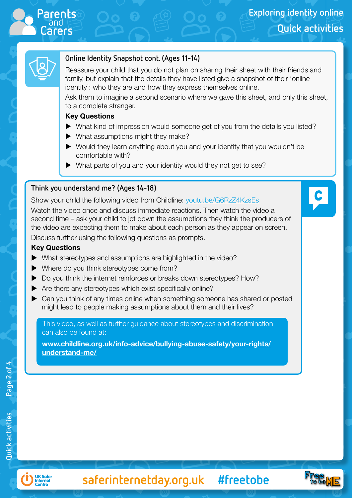

C



#### **Online Identity Snapshot cont. (Ages 11-14)**

Reassure your child that you do not plan on sharing their sheet with their friends and family, but explain that the details they have listed give a snapshot of their 'online identity': who they are and how they express themselves online.

Ask them to imagine a second scenario where we gave this sheet, and only this sheet, to a complete stranger.

#### Key Questions

- $\blacktriangleright$  What kind of impression would someone get of you from the details you listed?
- $\blacktriangleright$  What assumptions might they make?
- $\blacktriangleright$  Would they learn anything about you and your identity that you wouldn't be comfortable with?
- $\blacktriangleright$  What parts of you and your identity would they not get to see?

#### **Think you understand me? (Ages 14-18)**

Show your child the following video from Childline: [youtu.be/G6RzZ4KzsEs](http://youtu.be/G6RzZ4KzsEs)

Watch the video once and discuss immediate reactions. Then watch the video a second time – ask your child to jot down the assumptions they think the producers of the video are expecting them to make about each person as they appear on screen.

Discuss further using the following questions as prompts.

#### Key Questions

- $\blacktriangleright$  What stereotypes and assumptions are highlighted in the video?
- $\blacktriangleright$  Where do you think stereotypes come from?
- ▶ Do you think the internet reinforces or breaks down stereotypes? How?
- $\blacktriangleright$  Are there any stereotypes which exist specifically online?
- $\blacktriangleright$  Can you think of any times online when something someone has shared or posted might lead to people making assumptions about them and their lives?

This video, as well as further guidance about stereotypes and discrimination can also be found at:

[www.childline.org.uk/info-advice/bullying-abuse-safety/your-rights/](http://www.childline.org.uk/info-advice/bullying-abuse-safety/your-rights/understand-me/) [understand-me/](http://www.childline.org.uk/info-advice/bullying-abuse-safety/your-rights/understand-me/)



**saferinternetday.org.uk #freetobe**

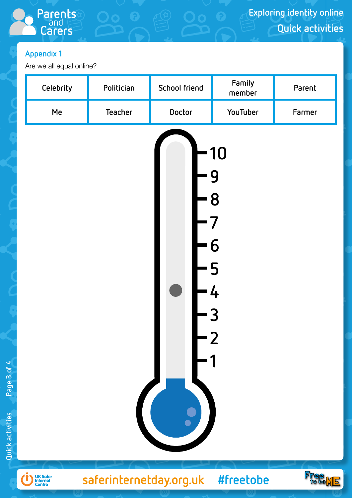# **Appendix 1**

Are we all equal online?

and **Parents**

**Carers**

| Celebrity | Politician     | School friend                                      | Family<br>member                                                | Parent |
|-----------|----------------|----------------------------------------------------|-----------------------------------------------------------------|--------|
| Me        | <b>Teacher</b> | Doctor                                             | YouTuber                                                        | Farmer |
|           |                | - 9<br>$\begin{bmatrix} 5 \\ 7 \\ 6 \end{bmatrix}$ | 10<br><b>8</b><br>$\overline{\phantom{a}}$<br>$-5$<br>$-4$<br>3 |        |



**Quick activities Page 3 of 4**

Quick activities

Page 3 of 4

**saferinternetday.org.uk #freetobe**